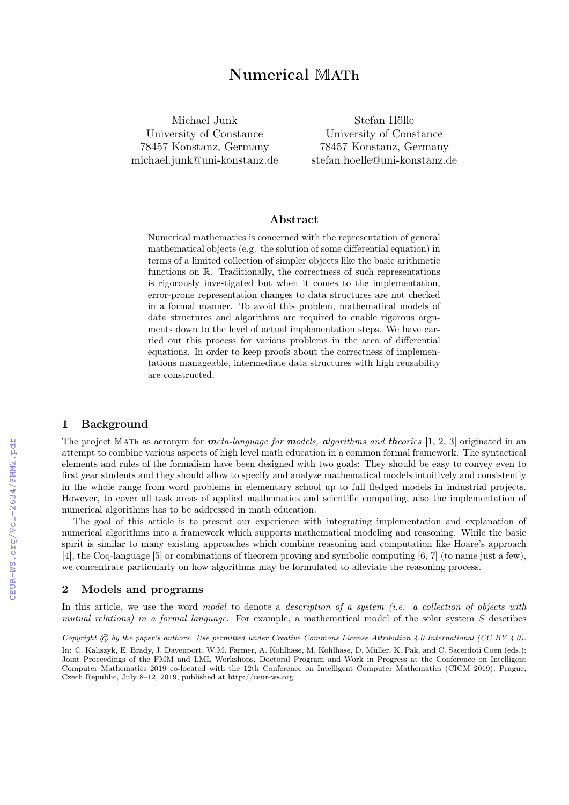# Numerical MATh

Michael Junk University of Constance 78457 Konstanz, Germany michael.junk@uni-konstanz.de

Stefan Hölle University of Constance 78457 Konstanz, Germany stefan.hoelle@uni-konstanz.de

### Abstract

Numerical mathematics is concerned with the representation of general mathematical objects (e.g. the solution of some differential equation) in terms of a limited collection of simpler objects like the basic arithmetic functions on R. Traditionally, the correctness of such representations is rigorously investigated but when it comes to the implementation, error-prone representation changes to data structures are not checked in a formal manner. To avoid this problem, mathematical models of data structures and algorithms are required to enable rigorous arguments down to the level of actual implementation steps. We have carried out this process for various problems in the area of differential equations. In order to keep proofs about the correctness of implementations manageable, intermediate data structures with high reusability are constructed.

#### 1 Background

The project MATh as acronym for *meta-language for models, algorithms and theories* [1, 2, 3] originated in an attempt to combine various aspects of high level math education in a common formal framework. The syntactical elements and rules of the formalism have been designed with two goals: They should be easy to convey even to first year students and they should allow to specify and analyze mathematical models intuitively and consistently in the whole range from word problems in elementary school up to full fledged models in industrial projects. However, to cover all task areas of applied mathematics and scientific computing, also the implementation of numerical algorithms has to be addressed in math education.

The goal of this article is to present our experience with integrating implementation and explanation of numerical algorithms into a framework which supports mathematical modeling and reasoning. While the basic spirit is similar to many existing approaches which combine reasoning and computation like Hoare's approach [4], the Coq-language [5] or combinations of theorem proving and symbolic computing [6, 7] (to name just a few), we concentrate particularly on how algorithms may be formulated to alleviate the reasoning process.

## 2 Models and programs

In this article, we use the word model to denote a description of a system (i.e. a collection of objects with mutual relations) in a formal language. For example, a mathematical model of the solar system  $S$  describes

Copyright  $\odot$  by the paper's authors. Use permitted under Creative Commons License Attribution 4.0 International (CC BY 4.0).

In: C. Kaliszyk, E. Brady, J. Davenport, W.M. Farmer, A. Kohlhase, M. Kohlhase, D. Müller, K. Pąk, and C. Sacerdoti Coen (eds.): Joint Proceedings of the FMM and LML Workshops, Doctoral Program and Work in Progress at the Conference on Intelligent Computer Mathematics 2019 co-located with the 12th Conference on Intelligent Computer Mathematics (CICM 2019), Prague, Czech Republic, July 8–12, 2019, published at http://ceur-ws.org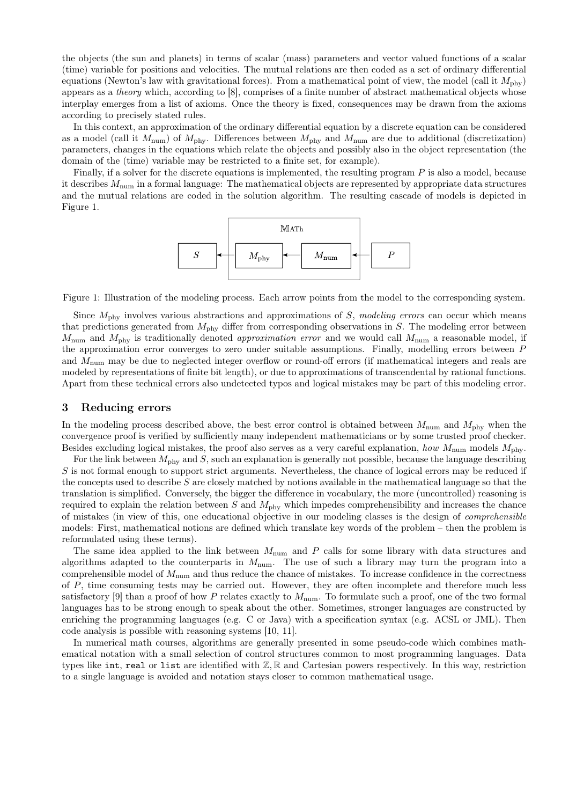the objects (the sun and planets) in terms of scalar (mass) parameters and vector valued functions of a scalar (time) variable for positions and velocities. The mutual relations are then coded as a set of ordinary differential equations (Newton's law with gravitational forces). From a mathematical point of view, the model (call it  $M_{\text{phy}}$ ) appears as a theory which, according to [8], comprises of a finite number of abstract mathematical objects whose interplay emerges from a list of axioms. Once the theory is fixed, consequences may be drawn from the axioms according to precisely stated rules.

In this context, an approximation of the ordinary differential equation by a discrete equation can be considered as a model (call it  $M_{\text{num}}$ ) of  $M_{\text{phy}}$ . Differences between  $M_{\text{phy}}$  and  $M_{\text{num}}$  are due to additional (discretization) parameters, changes in the equations which relate the objects and possibly also in the object representation (the domain of the (time) variable may be restricted to a finite set, for example).

Finally, if a solver for the discrete equations is implemented, the resulting program  $P$  is also a model, because it describes  $M_{\text{num}}$  in a formal language: The mathematical objects are represented by appropriate data structures and the mutual relations are coded in the solution algorithm. The resulting cascade of models is depicted in Figure 1.



Figure 1: Illustration of the modeling process. Each arrow points from the model to the corresponding system.

Since  $M_{\text{phy}}$  involves various abstractions and approximations of S, modeling errors can occur which means that predictions generated from  $M_{\text{phy}}$  differ from corresponding observations in S. The modeling error between  $M_{\text{num}}$  and  $M_{\text{phy}}$  is traditionally denoted *approximation error* and we would call  $M_{\text{num}}$  a reasonable model, if the approximation error converges to zero under suitable assumptions. Finally, modelling errors between P and  $M_{\text{num}}$  may be due to neglected integer overflow or round-off errors (if mathematical integers and reals are modeled by representations of finite bit length), or due to approximations of transcendental by rational functions. Apart from these technical errors also undetected typos and logical mistakes may be part of this modeling error.

#### 3 Reducing errors

In the modeling process described above, the best error control is obtained between  $M_{\text{num}}$  and  $M_{\text{phy}}$  when the convergence proof is verified by sufficiently many independent mathematicians or by some trusted proof checker. Besides excluding logical mistakes, the proof also serves as a very careful explanation, how  $M_{\text{num}}$  models  $M_{\text{phy}}$ .

For the link between  $M_{\text{phy}}$  and S, such an explanation is generally not possible, because the language describing  $S$  is not formal enough to support strict arguments. Nevertheless, the chance of logical errors may be reduced if the concepts used to describe S are closely matched by notions available in the mathematical language so that the translation is simplified. Conversely, the bigger the difference in vocabulary, the more (uncontrolled) reasoning is required to explain the relation between  $S$  and  $M_{\text{phy}}$  which impedes comprehensibility and increases the chance of mistakes (in view of this, one educational objective in our modeling classes is the design of comprehensible models: First, mathematical notions are defined which translate key words of the problem – then the problem is reformulated using these terms).

The same idea applied to the link between  $M_{\text{num}}$  and  $P$  calls for some library with data structures and algorithms adapted to the counterparts in  $M_{\text{num}}$ . The use of such a library may turn the program into a comprehensible model of  $M_{\text{num}}$  and thus reduce the chance of mistakes. To increase confidence in the correctness of P, time consuming tests may be carried out. However, they are often incomplete and therefore much less satisfactory [9] than a proof of how P relates exactly to  $M_{\text{num}}$ . To formulate such a proof, one of the two formal languages has to be strong enough to speak about the other. Sometimes, stronger languages are constructed by enriching the programming languages (e.g. C or Java) with a specification syntax (e.g. ACSL or JML). Then code analysis is possible with reasoning systems [10, 11].

In numerical math courses, algorithms are generally presented in some pseudo-code which combines mathematical notation with a small selection of control structures common to most programming languages. Data types like int, real or list are identified with  $\mathbb{Z}, \mathbb{R}$  and Cartesian powers respectively. In this way, restriction to a single language is avoided and notation stays closer to common mathematical usage.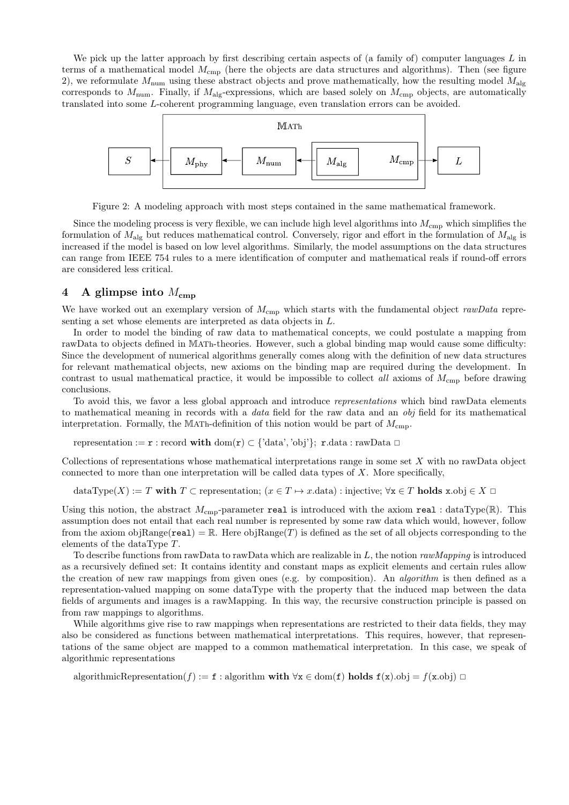We pick up the latter approach by first describing certain aspects of (a family of) computer languages  $L$  in terms of a mathematical model  $M_{\text{cmp}}$  (here the objects are data structures and algorithms). Then (see figure 2), we reformulate  $M_{\text{num}}$  using these abstract objects and prove mathematically, how the resulting model  $M_{\text{ale}}$ corresponds to  $M_{\text{num}}$ . Finally, if  $M_{\text{alg}}$ -expressions, which are based solely on  $M_{\text{cmp}}$  objects, are automatically translated into some L-coherent programming language, even translation errors can be avoided.



Figure 2: A modeling approach with most steps contained in the same mathematical framework.

Since the modeling process is very flexible, we can include high level algorithms into  $M_{\text{cmp}}$  which simplifies the formulation of  $M_{\text{alg}}$  but reduces mathematical control. Conversely, rigor and effort in the formulation of  $M_{\text{alg}}$  is increased if the model is based on low level algorithms. Similarly, the model assumptions on the data structures can range from IEEE 754 rules to a mere identification of computer and mathematical reals if round-off errors are considered less critical.

# 4 A glimpse into  $M_{\text{cmn}}$

We have worked out an exemplary version of  $M_{\text{cmp}}$  which starts with the fundamental object rawData representing a set whose elements are interpreted as data objects in L.

In order to model the binding of raw data to mathematical concepts, we could postulate a mapping from rawData to objects defined in MATh-theories. However, such a global binding map would cause some difficulty: Since the development of numerical algorithms generally comes along with the definition of new data structures for relevant mathematical objects, new axioms on the binding map are required during the development. In contrast to usual mathematical practice, it would be impossible to collect all axioms of  $M_{\text{cmp}}$  before drawing conclusions.

To avoid this, we favor a less global approach and introduce representations which bind rawData elements to mathematical meaning in records with a *data* field for the raw data and an  $obj$  field for its mathematical interpretation. Formally, the MATh-definition of this notion would be part of  $M_{\text{cmp}}$ .

representation :=  $\mathbf{r}$  : record with dom( $\mathbf{r}$ ) ⊂ {'data', 'obj'};  $\mathbf{r}$ .data : rawData  $\Box$ 

Collections of representations whose mathematical interpretations range in some set  $X$  with no rawData object connected to more than one interpretation will be called data types of  $X$ . More specifically,

dataType(X) := T with  $T \subset$  representation;  $(x \in T \mapsto x$ .data) : injective;  $\forall x \in T$  holds  $x$ .obj  $\in X \square$ 

Using this notion, the abstract  $M_{\text{cmp}}$ -parameter real is introduced with the axiom real : dataType( $\mathbb{R}$ ). This assumption does not entail that each real number is represented by some raw data which would, however, follow from the axiom objRange(real) =  $\mathbb R$ . Here objRange(T) is defined as the set of all objects corresponding to the elements of the dataType T.

To describe functions from rawData to rawData which are realizable in  $L$ , the notion rawMapping is introduced as a recursively defined set: It contains identity and constant maps as explicit elements and certain rules allow the creation of new raw mappings from given ones (e.g. by composition). An algorithm is then defined as a representation-valued mapping on some dataType with the property that the induced map between the data fields of arguments and images is a rawMapping. In this way, the recursive construction principle is passed on from raw mappings to algorithms.

While algorithms give rise to raw mappings when representations are restricted to their data fields, they may also be considered as functions between mathematical interpretations. This requires, however, that representations of the same object are mapped to a common mathematical interpretation. In this case, we speak of algorithmic representations

algorithmicRepresentation(f) := f : algorithm with  $\forall x \in \text{dom}(f)$  holds  $f(x)$ .obj =  $f(x)$ .obj  $\Box$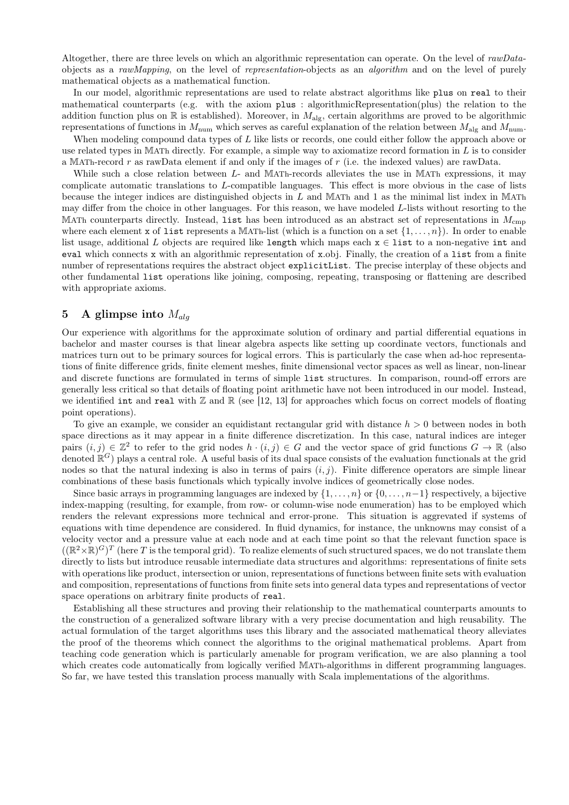Altogether, there are three levels on which an algorithmic representation can operate. On the level of rawDataobjects as a rawMapping, on the level of representation-objects as an algorithm and on the level of purely mathematical objects as a mathematical function.

In our model, algorithmic representations are used to relate abstract algorithms like plus on real to their mathematical counterparts (e.g. with the axiom plus : algorithmicRepresentation(plus) the relation to the addition function plus on  $\mathbb R$  is established). Moreover, in  $M_{\text{alg}}$ , certain algorithms are proved to be algorithmic representations of functions in  $M_{\text{num}}$  which serves as careful explanation of the relation between  $M_{\text{alg}}$  and  $M_{\text{num}}$ .

When modeling compound data types of L like lists or records, one could either follow the approach above or use related types in MATh directly. For example, a simple way to axiomatize record formation in  $L$  is to consider a MATh-record  $r$  as rawData element if and only if the images of  $r$  (i.e. the indexed values) are rawData.

While such a close relation between  $L$ - and MATh-records alleviates the use in MATh expressions, it may complicate automatic translations to L-compatible languages. This effect is more obvious in the case of lists because the integer indices are distinguished objects in L and MATh and 1 as the minimal list index in MATh may differ from the choice in other languages. For this reason, we have modeled L-lists without resorting to the MATh counterparts directly. Instead, list has been introduced as an abstract set of representations in  $M_{\text{cmp}}$ where each element x of list represents a MATh-list (which is a function on a set  $\{1,\ldots,n\}$ ). In order to enable list usage, additional L objects are required like length which maps each  $x \in$  list to a non-negative int and eval which connects x with an algorithmic representation of x.obj. Finally, the creation of a list from a finite number of representations requires the abstract object explicitList. The precise interplay of these objects and other fundamental list operations like joining, composing, repeating, transposing or flattening are described with appropriate axioms.

# 5 A glimpse into  $M_{ala}$

Our experience with algorithms for the approximate solution of ordinary and partial differential equations in bachelor and master courses is that linear algebra aspects like setting up coordinate vectors, functionals and matrices turn out to be primary sources for logical errors. This is particularly the case when ad-hoc representations of finite difference grids, finite element meshes, finite dimensional vector spaces as well as linear, non-linear and discrete functions are formulated in terms of simple list structures. In comparison, round-off errors are generally less critical so that details of floating point arithmetic have not been introduced in our model. Instead, we identified int and real with  $\mathbb Z$  and  $\mathbb R$  (see [12, 13] for approaches which focus on correct models of floating point operations).

To give an example, we consider an equidistant rectangular grid with distance  $h > 0$  between nodes in both space directions as it may appear in a finite difference discretization. In this case, natural indices are integer pairs  $(i, j) \in \mathbb{Z}^2$  to refer to the grid nodes  $h \cdot (i, j) \in G$  and the vector space of grid functions  $G \to \mathbb{R}$  (also denoted  $\mathbb{R}^G$ ) plays a central role. A useful basis of its dual space consists of the evaluation functionals at the grid nodes so that the natural indexing is also in terms of pairs  $(i, j)$ . Finite difference operators are simple linear combinations of these basis functionals which typically involve indices of geometrically close nodes.

Since basic arrays in programming languages are indexed by  $\{1, \ldots, n\}$  or  $\{0, \ldots, n-1\}$  respectively, a bijective index-mapping (resulting, for example, from row- or column-wise node enumeration) has to be employed which renders the relevant expressions more technical and error-prone. This situation is aggrevated if systems of equations with time dependence are considered. In fluid dynamics, for instance, the unknowns may consist of a velocity vector and a pressure value at each node and at each time point so that the relevant function space is  $((\mathbb{R}^2 \times \mathbb{R})^G)^T$  (here T is the temporal grid). To realize elements of such structured spaces, we do not translate them directly to lists but introduce reusable intermediate data structures and algorithms: representations of finite sets with operations like product, intersection or union, representations of functions between finite sets with evaluation and composition, representations of functions from finite sets into general data types and representations of vector space operations on arbitrary finite products of real.

Establishing all these structures and proving their relationship to the mathematical counterparts amounts to the construction of a generalized software library with a very precise documentation and high reusability. The actual formulation of the target algorithms uses this library and the associated mathematical theory alleviates the proof of the theorems which connect the algorithms to the original mathematical problems. Apart from teaching code generation which is particularly amenable for program verification, we are also planning a tool which creates code automatically from logically verified MATh-algorithms in different programming languages. So far, we have tested this translation process manually with Scala implementations of the algorithms.